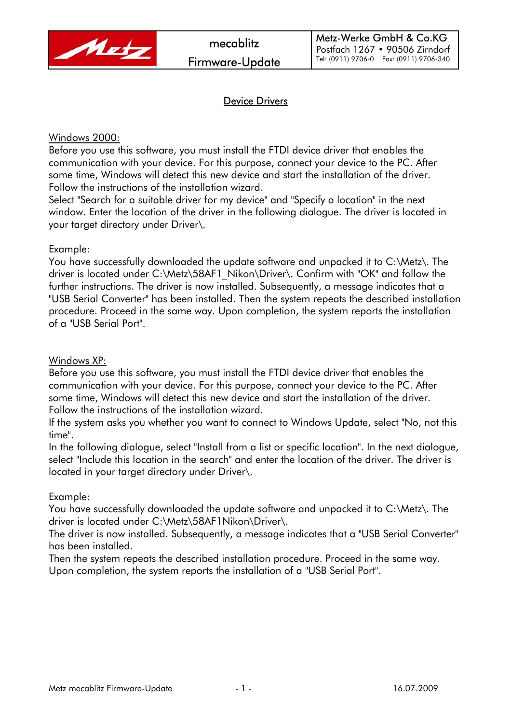

## Device Drivers

### Windows 2000:

Before you use this software, you must install the FTDI device driver that enables the communication with your device. For this purpose, connect your device to the PC. After some time, Windows will detect this new device and start the installation of the driver. Follow the instructions of the installation wizard.

Select "Search for a suitable driver for my device" and "Specify a location" in the next window. Enter the location of the driver in the following dialogue. The driver is located in your target directory under Driver\.

#### Example:

You have successfully downloaded the update software and unpacked it to C:\Metz\. The driver is located under C:\Metz\58AF1\_Nikon\Driver\. Confirm with "OK" and follow the further instructions. The driver is now installed. Subsequently, a message indicates that a "USB Serial Converter" has been installed. Then the system repeats the described installation procedure. Proceed in the same way. Upon completion, the system reports the installation of a "USB Serial Port".

Windows XP:

Before you use this software, you must install the FTDI device driver that enables the communication with your device. For this purpose, connect your device to the PC. After some time, Windows will detect this new device and start the installation of the driver. Follow the instructions of the installation wizard.

If the system asks you whether you want to connect to Windows Update, select "No, not this time".

In the following dialogue, select "Install from a list or specific location". In the next dialogue, select "Include this location in the search" and enter the location of the driver. The driver is located in your target directory under Driver\.

#### Example:

You have successfully downloaded the update software and unpacked it to C:\Metz\. The driver is located under C:\Metz\58AF1Nikon\Driver\.

The driver is now installed. Subsequently, a message indicates that a "USB Serial Converter" has been installed.

Then the system repeats the described installation procedure. Proceed in the same way. Upon completion, the system reports the installation of a "USB Serial Port".